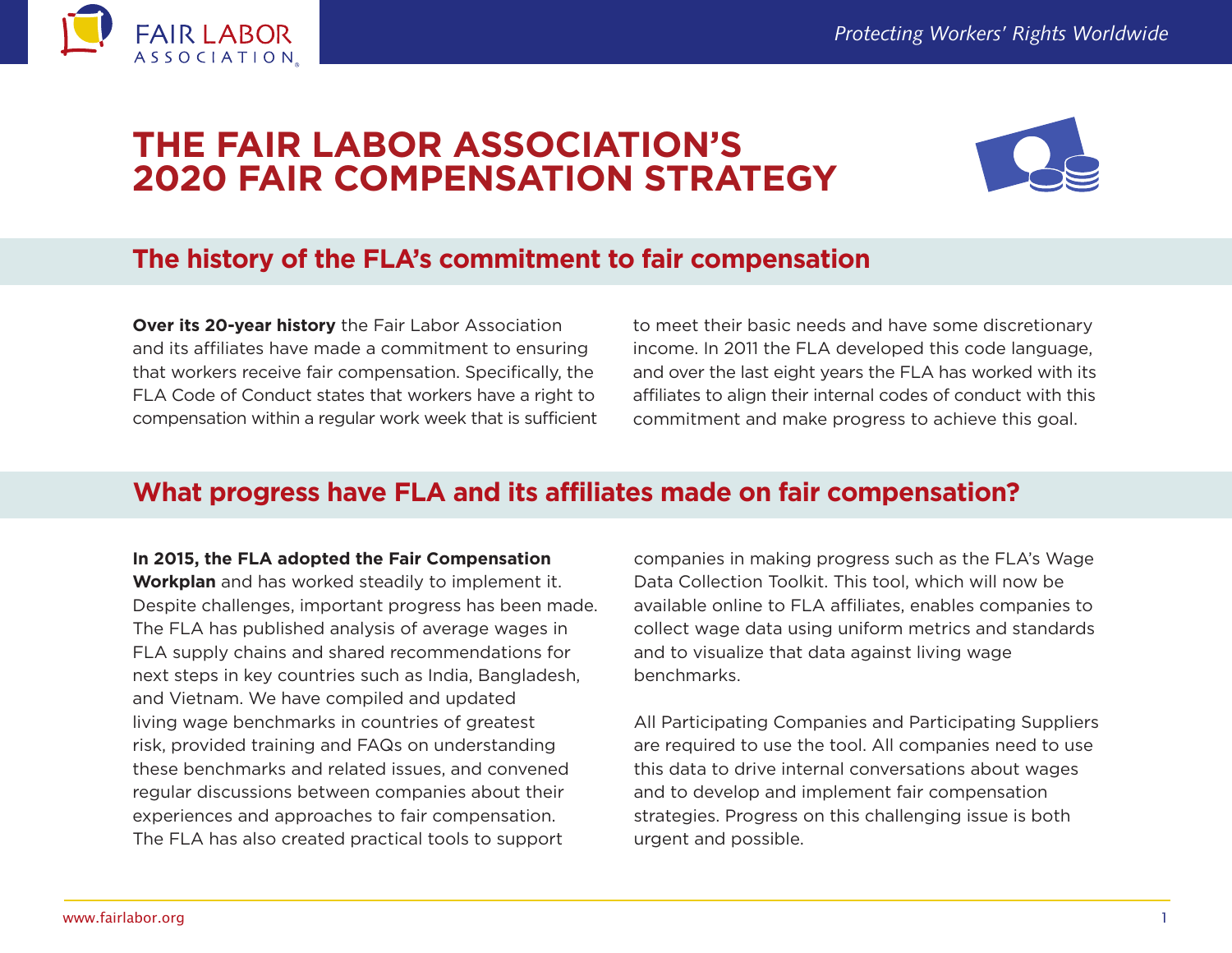

# **THE FAIR LABOR ASSOCIATION'S 2020 FAIR COMPENSATION STRATEGY**



## **The history of the FLA's commitment to fair compensation**

**Over its 20-year history** the Fair Labor Association and its affiliates have made a commitment to ensuring that workers receive fair compensation. Specifically, the FLA Code of Conduct states that workers have a right to compensation within a regular work week that is sufficient to meet their basic needs and have some discretionary income. In 2011 the FLA developed this code language, and over the last eight years the FLA has worked with its affiliates to align their internal codes of conduct with this commitment and make progress to achieve this goal.

### **What progress have FLA and its affiliates made on fair compensation?**

#### **In 2015, the FLA adopted the Fair Compensation**

**Workplan** and has worked steadily to implement it. Despite challenges, important progress has been made. The FLA has published analysis of average wages in FLA supply chains and shared recommendations for next steps in key countries such as India, Bangladesh, and Vietnam. We have compiled and updated living wage benchmarks in countries of greatest risk, provided training and FAQs on understanding these benchmarks and related issues, and convened regular discussions between companies about their experiences and approaches to fair compensation. The FLA has also created practical tools to support

companies in making progress such as the FLA's Wage Data Collection Toolkit. This tool, which will now be available online to FLA affiliates, enables companies to collect wage data using uniform metrics and standards and to visualize that data against living wage benchmarks.

All Participating Companies and Participating Suppliers are required to use the tool. All companies need to use this data to drive internal conversations about wages and to develop and implement fair compensation strategies. Progress on this challenging issue is both urgent and possible.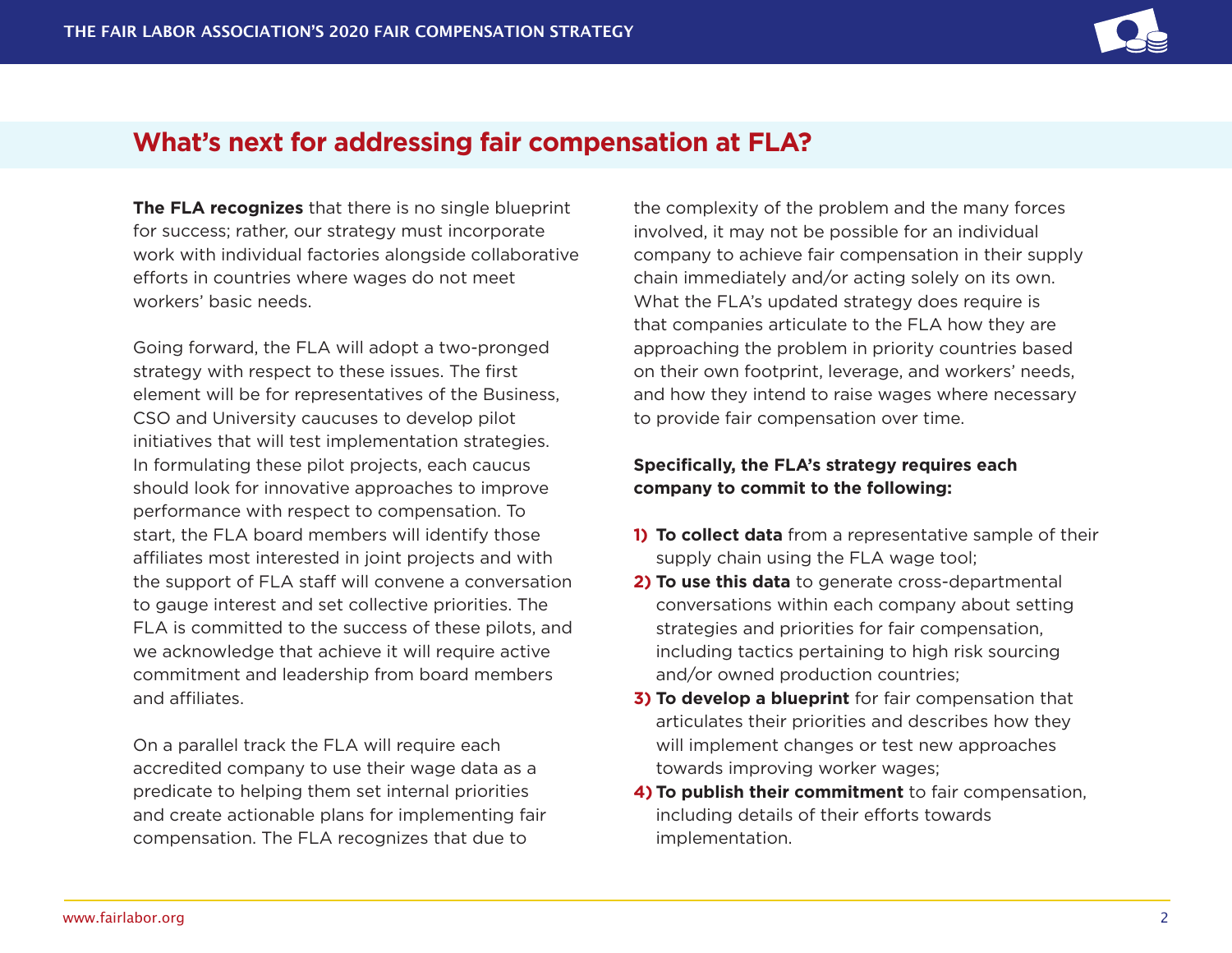

### **What's next for addressing fair compensation at FLA?**

**The FLA recognizes** that there is no single blueprint for success; rather, our strategy must incorporate work with individual factories alongside collaborative efforts in countries where wages do not meet workers' basic needs.

Going forward, the FLA will adopt a two-pronged strategy with respect to these issues. The first element will be for representatives of the Business, CSO and University caucuses to develop pilot initiatives that will test implementation strategies. In formulating these pilot projects, each caucus should look for innovative approaches to improve performance with respect to compensation. To start, the FLA board members will identify those affiliates most interested in joint projects and with the support of FLA staff will convene a conversation to gauge interest and set collective priorities. The FLA is committed to the success of these pilots, and we acknowledge that achieve it will require active commitment and leadership from board members and affiliates.

On a parallel track the FLA will require each accredited company to use their wage data as a predicate to helping them set internal priorities and create actionable plans for implementing fair compensation. The FLA recognizes that due to

the complexity of the problem and the many forces involved, it may not be possible for an individual company to achieve fair compensation in their supply chain immediately and/or acting solely on its own. What the FLA's updated strategy does require is that companies articulate to the FLA how they are approaching the problem in priority countries based on their own footprint, leverage, and workers' needs, and how they intend to raise wages where necessary to provide fair compensation over time.

#### **Specifically, the FLA's strategy requires each company to commit to the following:**

- **1) To collect data** from a representative sample of their supply chain using the FLA wage tool;
- **2) To use this data** to generate cross-departmental conversations within each company about setting strategies and priorities for fair compensation, including tactics pertaining to high risk sourcing and/or owned production countries;
- **3) To develop a blueprint** for fair compensation that articulates their priorities and describes how they will implement changes or test new approaches towards improving worker wages;
- **4) To publish their commitment** to fair compensation, including details of their efforts towards implementation.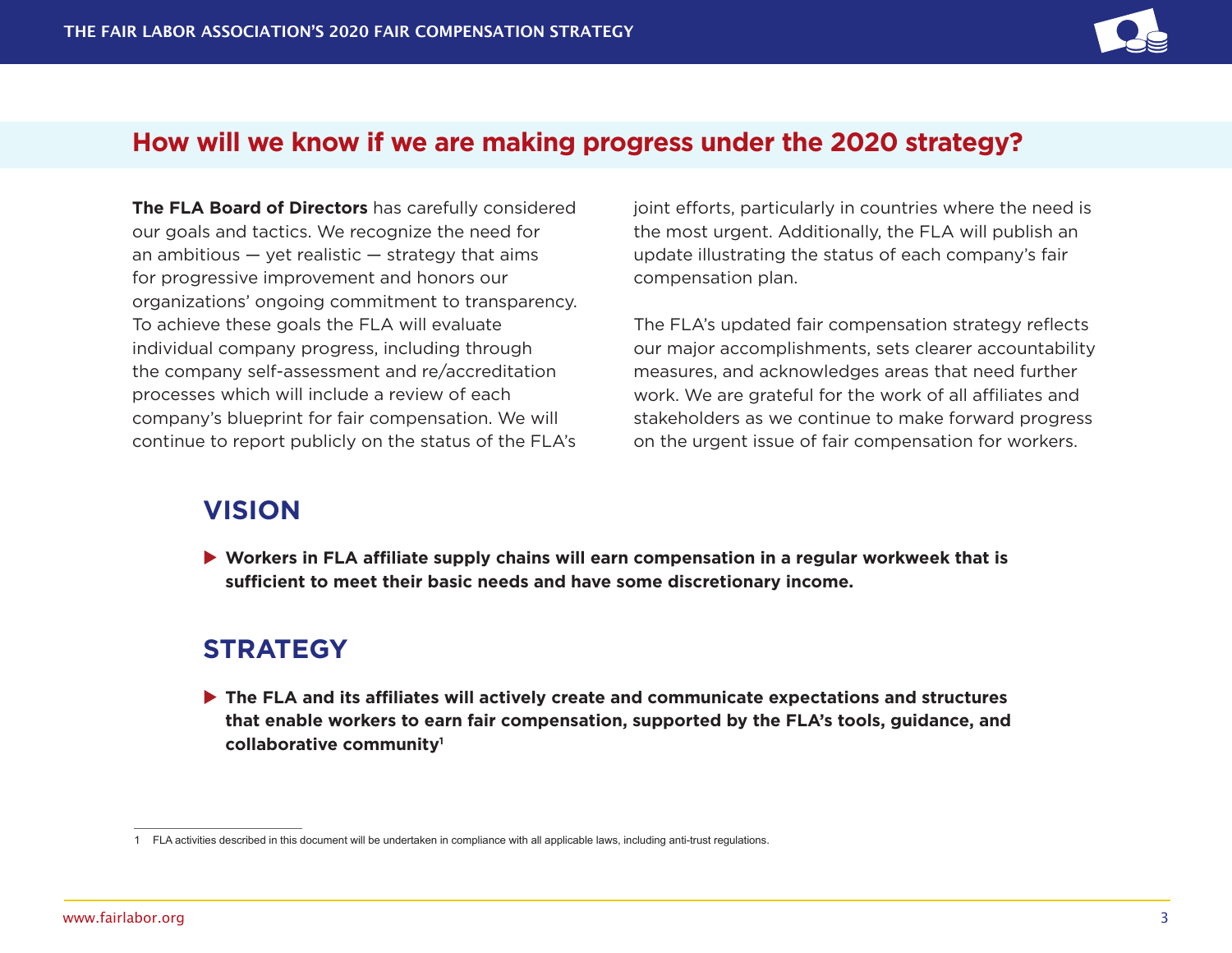

#### **How will we know if we are making progress under the 2020 strategy?**

**The FLA Board of Directors** has carefully considered our goals and tactics. We recognize the need for an ambitious  $-$  yet realistic  $-$  strategy that aims for progressive improvement and honors our organizations' ongoing commitment to transparency. To achieve these goals the FLA will evaluate individual company progress, including through the company self-assessment and re/accreditation processes which will include a review of each company's blueprint for fair compensation. We will continue to report publicly on the status of the FLA's

joint efforts, particularly in countries where the need is the most urgent. Additionally, the FLA will publish an update illustrating the status of each company's fair compensation plan.

The FLA's updated fair compensation strategy reflects our major accomplishments, sets clearer accountability measures, and acknowledges areas that need further work. We are grateful for the work of all affiliates and stakeholders as we continue to make forward progress on the urgent issue of fair compensation for workers.

### **VISION**

▶ Workers in FLA affiliate supply chains will earn compensation in a regular workweek that is **sufficient to meet their basic needs and have some discretionary income.**

### **STRATEGY**

▶ The FLA and its affiliates will actively create and communicate expectations and structures **that enable workers to earn fair compensation, supported by the FLA's tools, guidance, and collaborative community1**

<sup>1</sup> FLA activities described in this document will be undertaken in compliance with all applicable laws, including anti-trust regulations.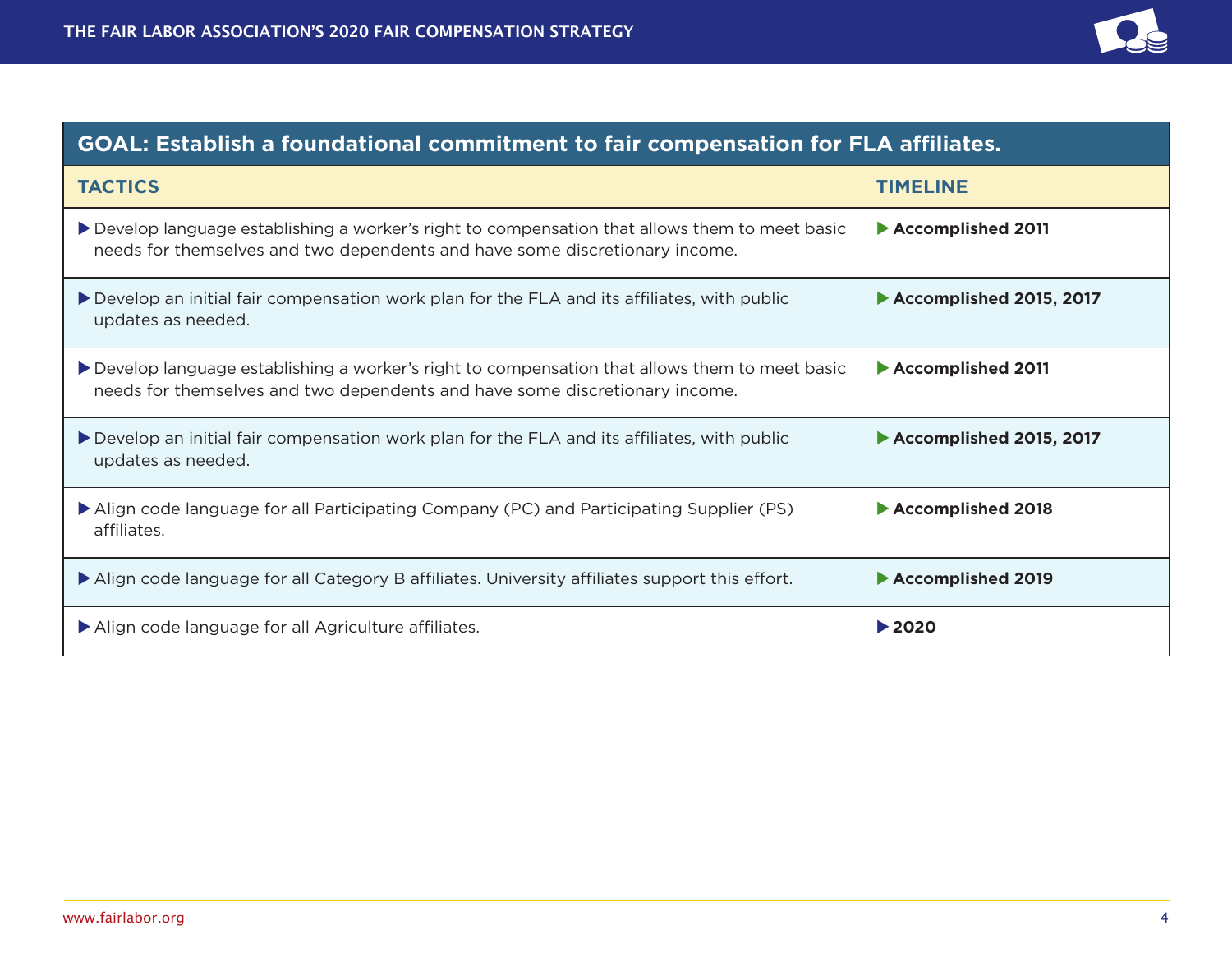

| <b>GOAL: Establish a foundational commitment to fair compensation for FLA affiliates.</b>                                                                                      |                            |
|--------------------------------------------------------------------------------------------------------------------------------------------------------------------------------|----------------------------|
| <b>TACTICS</b>                                                                                                                                                                 | <b>TIMELINE</b>            |
| ▶ Develop language establishing a worker's right to compensation that allows them to meet basic<br>needs for themselves and two dependents and have some discretionary income. | Accomplished 2011          |
| Develop an initial fair compensation work plan for the FLA and its affiliates, with public<br>updates as needed.                                                               | Accomplished 2015, 2017    |
| ▶ Develop language establishing a worker's right to compensation that allows them to meet basic<br>needs for themselves and two dependents and have some discretionary income. | Accomplished 2011          |
| Develop an initial fair compensation work plan for the FLA and its affiliates, with public<br>updates as needed.                                                               | Accomplished 2015, 2017    |
| Align code language for all Participating Company (PC) and Participating Supplier (PS)<br>affiliates.                                                                          | Accomplished 2018          |
| Align code language for all Category B affiliates. University affiliates support this effort.                                                                                  | Accomplished 2019          |
| Align code language for all Agriculture affiliates.                                                                                                                            | $\blacktriangleright$ 2020 |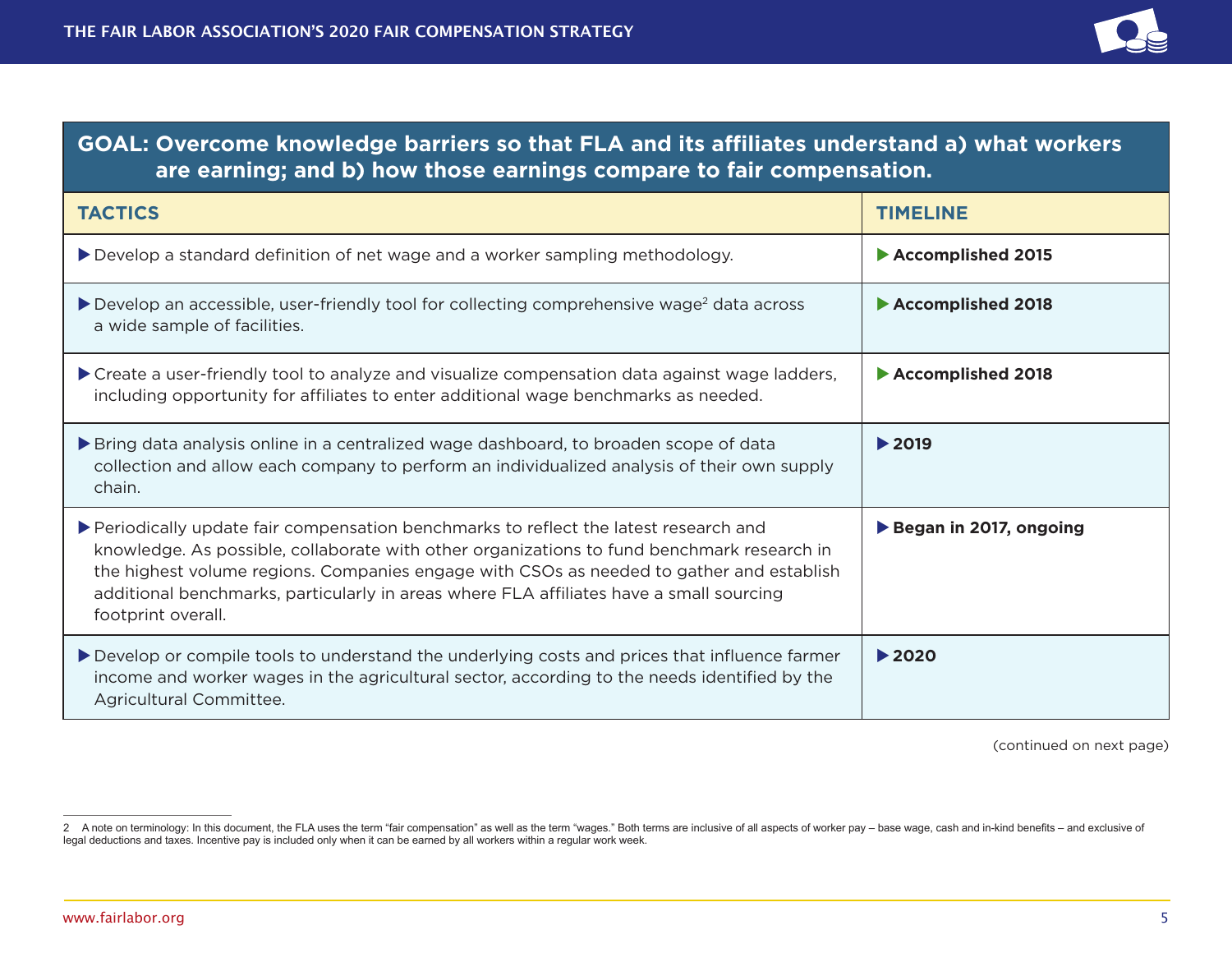

#### **goal: Overcome knowledge barriers so that FLA and its affiliates understand a) what workers are earning; and b) how those earnings compare to fair compensation.**

| <b>TACTICS</b>                                                                                                                                                                                                                                                                                                                                                                                   | <b>TIMELINE</b>            |
|--------------------------------------------------------------------------------------------------------------------------------------------------------------------------------------------------------------------------------------------------------------------------------------------------------------------------------------------------------------------------------------------------|----------------------------|
| ▶ Develop a standard definition of net wage and a worker sampling methodology.                                                                                                                                                                                                                                                                                                                   | Accomplished 2015          |
| Develop an accessible, user-friendly tool for collecting comprehensive wage <sup>2</sup> data across<br>a wide sample of facilities.                                                                                                                                                                                                                                                             | Accomplished 2018          |
| ▶ Create a user-friendly tool to analyze and visualize compensation data against wage ladders,<br>including opportunity for affiliates to enter additional wage benchmarks as needed.                                                                                                                                                                                                            | Accomplished 2018          |
| Bring data analysis online in a centralized wage dashboard, to broaden scope of data<br>collection and allow each company to perform an individualized analysis of their own supply<br>chain.                                                                                                                                                                                                    | $\blacktriangleright$ 2019 |
| ▶ Periodically update fair compensation benchmarks to reflect the latest research and<br>knowledge. As possible, collaborate with other organizations to fund benchmark research in<br>the highest volume regions. Companies engage with CSOs as needed to gather and establish<br>additional benchmarks, particularly in areas where FLA affiliates have a small sourcing<br>footprint overall. | Began in 2017, ongoing     |
| Develop or compile tools to understand the underlying costs and prices that influence farmer<br>income and worker wages in the agricultural sector, according to the needs identified by the<br>Agricultural Committee.                                                                                                                                                                          | $\blacktriangleright$ 2020 |

(continued on next page)

<sup>2</sup> A note on terminology: In this document, the FLA uses the term "fair compensation" as well as the term "wages." Both terms are inclusive of all aspects of worker pay - base wage, cash and in-kind benefits - and exclusive legal deductions and taxes. Incentive pay is included only when it can be earned by all workers within a regular work week.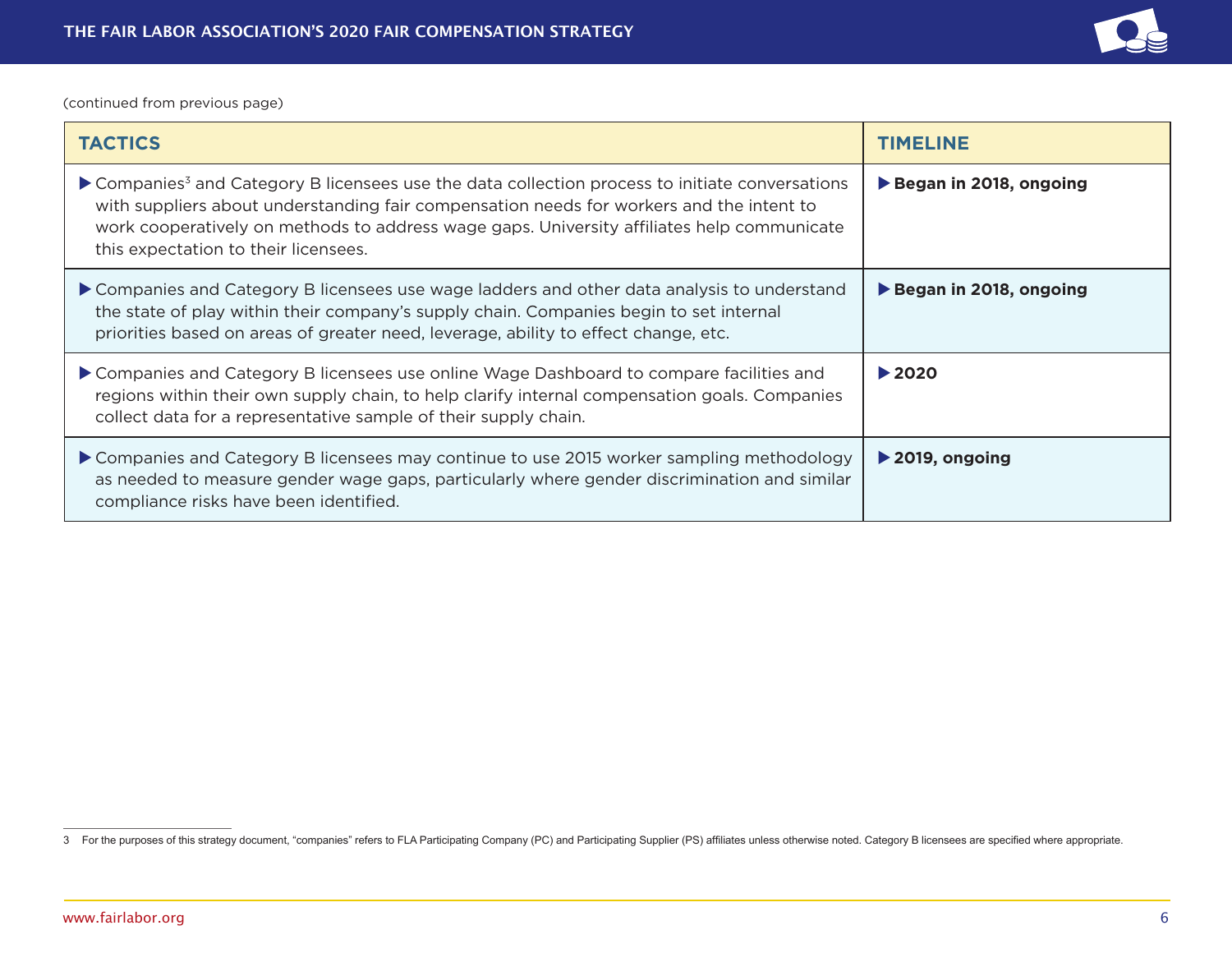

(continued from previous page)

| <b>TACTICS</b>                                                                                                                                                                                                                                                                                                                                | <b>TIMELINE</b>                     |
|-----------------------------------------------------------------------------------------------------------------------------------------------------------------------------------------------------------------------------------------------------------------------------------------------------------------------------------------------|-------------------------------------|
| ▶ Companies <sup>3</sup> and Category B licensees use the data collection process to initiate conversations<br>with suppliers about understanding fair compensation needs for workers and the intent to<br>work cooperatively on methods to address wage gaps. University affiliates help communicate<br>this expectation to their licensees. | Began in 2018, ongoing              |
| Companies and Category B licensees use wage ladders and other data analysis to understand<br>the state of play within their company's supply chain. Companies begin to set internal<br>priorities based on areas of greater need, leverage, ability to effect change, etc.                                                                    | Began in 2018, ongoing              |
| ▶ Companies and Category B licensees use online Wage Dashboard to compare facilities and<br>regions within their own supply chain, to help clarify internal compensation goals. Companies<br>collect data for a representative sample of their supply chain.                                                                                  | $\blacktriangleright$ 2020          |
| Companies and Category B licensees may continue to use 2015 worker sampling methodology<br>as needed to measure gender wage gaps, particularly where gender discrimination and similar<br>compliance risks have been identified.                                                                                                              | $\blacktriangleright$ 2019, ongoing |

<sup>3</sup> For the purposes of this strategy document, "companies" refers to FLA Participating Company (PC) and Participating Supplier (PS) affiliates unless otherwise noted. Category B licensees are specified where appropriate.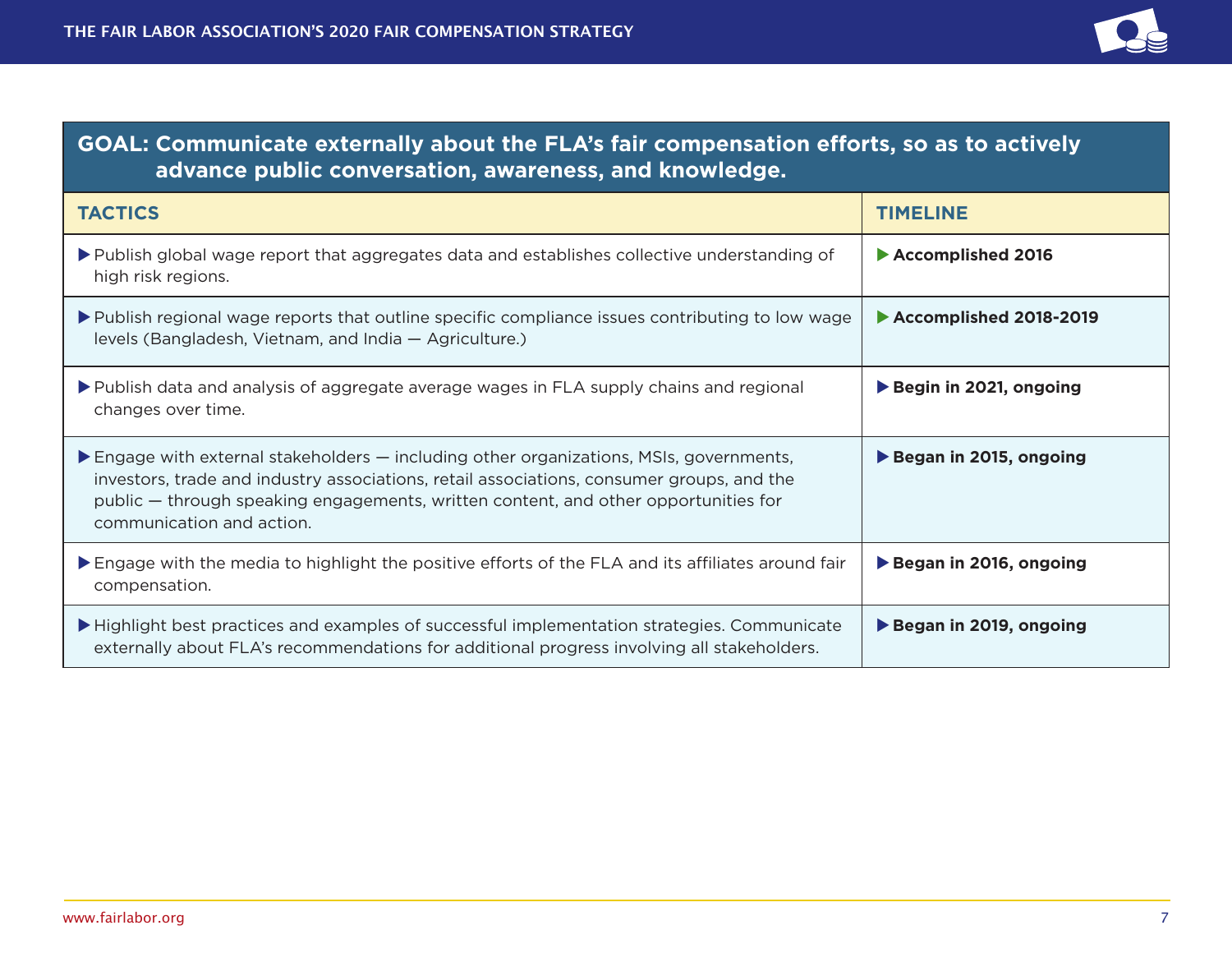

| <b>GOAL: Communicate externally about the FLA's fair compensation efforts, so as to actively</b><br>advance public conversation, awareness, and knowledge.                                                                                                                                                                     |                        |
|--------------------------------------------------------------------------------------------------------------------------------------------------------------------------------------------------------------------------------------------------------------------------------------------------------------------------------|------------------------|
| <b>TACTICS</b>                                                                                                                                                                                                                                                                                                                 | <b>TIMELINE</b>        |
| ▶ Publish global wage report that aggregates data and establishes collective understanding of<br>high risk regions.                                                                                                                                                                                                            | Accomplished 2016      |
| ▶ Publish regional wage reports that outline specific compliance issues contributing to low wage<br>levels (Bangladesh, Vietnam, and India - Agriculture.)                                                                                                                                                                     | Accomplished 2018-2019 |
| ▶ Publish data and analysis of aggregate average wages in FLA supply chains and regional<br>changes over time.                                                                                                                                                                                                                 | Begin in 2021, ongoing |
| $\blacktriangleright$ Engage with external stakeholders $-$ including other organizations, MSIs, governments,<br>investors, trade and industry associations, retail associations, consumer groups, and the<br>public – through speaking engagements, written content, and other opportunities for<br>communication and action. | Began in 2015, ongoing |
| Engage with the media to highlight the positive efforts of the FLA and its affiliates around fair<br>compensation.                                                                                                                                                                                                             | Began in 2016, ongoing |
| Highlight best practices and examples of successful implementation strategies. Communicate<br>externally about FLA's recommendations for additional progress involving all stakeholders.                                                                                                                                       | Began in 2019, ongoing |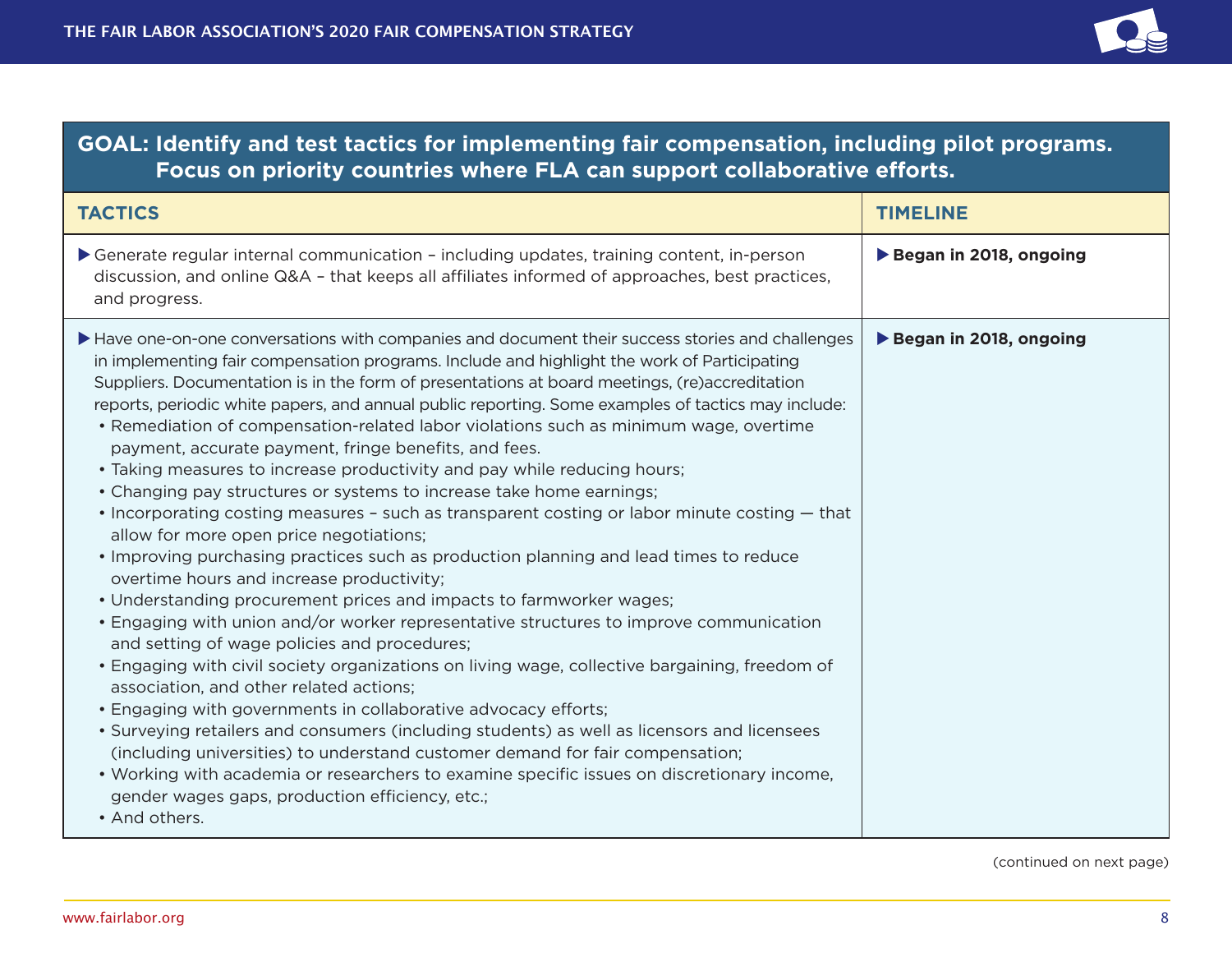

### **goal: Identify and test tactics for implementing fair compensation, including pilot programs. Focus on priority countries where FLA can support collaborative efforts.**

| <b>TACTICS</b>                                                                                                                                                                                                                                                                                                                                                                                                                                                                                                                                                                                                                                                                                                                                                                                                                                                                                                                                                                                                                                                                                                                                                                                                                                                                                                                                                                                                                                                                                                                                                                                                                                                                                                                                                                | <b>TIMELINE</b>        |
|-------------------------------------------------------------------------------------------------------------------------------------------------------------------------------------------------------------------------------------------------------------------------------------------------------------------------------------------------------------------------------------------------------------------------------------------------------------------------------------------------------------------------------------------------------------------------------------------------------------------------------------------------------------------------------------------------------------------------------------------------------------------------------------------------------------------------------------------------------------------------------------------------------------------------------------------------------------------------------------------------------------------------------------------------------------------------------------------------------------------------------------------------------------------------------------------------------------------------------------------------------------------------------------------------------------------------------------------------------------------------------------------------------------------------------------------------------------------------------------------------------------------------------------------------------------------------------------------------------------------------------------------------------------------------------------------------------------------------------------------------------------------------------|------------------------|
| Generate regular internal communication - including updates, training content, in-person<br>discussion, and online Q&A - that keeps all affiliates informed of approaches, best practices,<br>and progress.                                                                                                                                                                                                                                                                                                                                                                                                                                                                                                                                                                                                                                                                                                                                                                                                                                                                                                                                                                                                                                                                                                                                                                                                                                                                                                                                                                                                                                                                                                                                                                   | Began in 2018, ongoing |
| Have one-on-one conversations with companies and document their success stories and challenges<br>in implementing fair compensation programs. Include and highlight the work of Participating<br>Suppliers. Documentation is in the form of presentations at board meetings, (re)accreditation<br>reports, periodic white papers, and annual public reporting. Some examples of tactics may include:<br>• Remediation of compensation-related labor violations such as minimum wage, overtime<br>payment, accurate payment, fringe benefits, and fees.<br>• Taking measures to increase productivity and pay while reducing hours;<br>• Changing pay structures or systems to increase take home earnings;<br>• Incorporating costing measures - such as transparent costing or labor minute costing – that<br>allow for more open price negotiations;<br>• Improving purchasing practices such as production planning and lead times to reduce<br>overtime hours and increase productivity;<br>• Understanding procurement prices and impacts to farmworker wages;<br>• Engaging with union and/or worker representative structures to improve communication<br>and setting of wage policies and procedures;<br>• Engaging with civil society organizations on living wage, collective bargaining, freedom of<br>association, and other related actions;<br>• Engaging with governments in collaborative advocacy efforts;<br>• Surveying retailers and consumers (including students) as well as licensors and licensees<br>(including universities) to understand customer demand for fair compensation;<br>. Working with academia or researchers to examine specific issues on discretionary income,<br>gender wages gaps, production efficiency, etc.;<br>• And others. | Began in 2018, ongoing |

(continued on next page)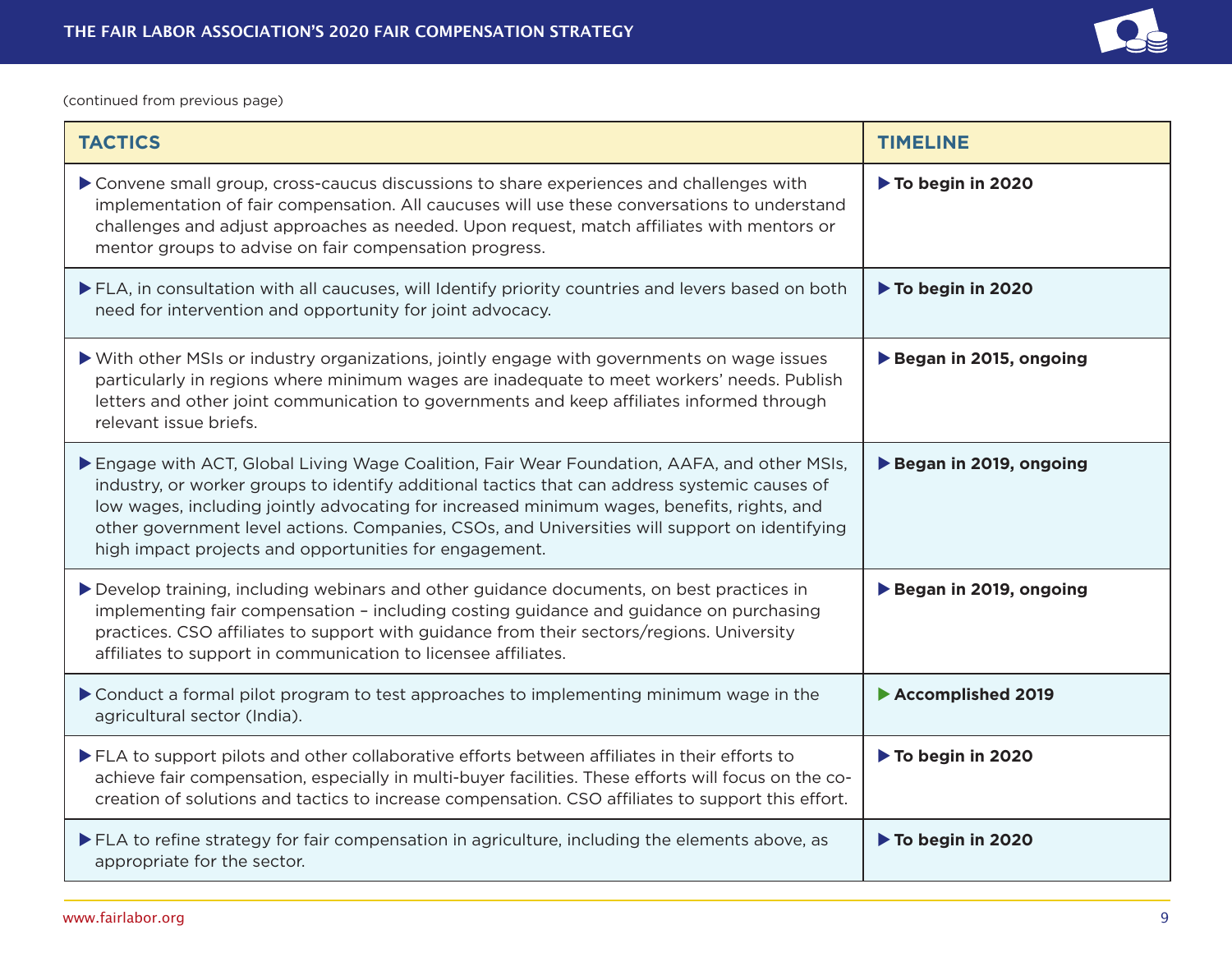

(continued from previous page)

| <b>TACTICS</b>                                                                                                                                                                                                                                                                                                                                                                                                                                       | <b>TIMELINE</b>        |
|------------------------------------------------------------------------------------------------------------------------------------------------------------------------------------------------------------------------------------------------------------------------------------------------------------------------------------------------------------------------------------------------------------------------------------------------------|------------------------|
| Convene small group, cross-caucus discussions to share experiences and challenges with<br>implementation of fair compensation. All caucuses will use these conversations to understand<br>challenges and adjust approaches as needed. Upon request, match affiliates with mentors or<br>mentor groups to advise on fair compensation progress.                                                                                                       | To begin in 2020       |
| ELA, in consultation with all caucuses, will Identify priority countries and levers based on both<br>need for intervention and opportunity for joint advocacy.                                                                                                                                                                                                                                                                                       | To begin in 2020       |
| ▶ With other MSIs or industry organizations, jointly engage with governments on wage issues<br>particularly in regions where minimum wages are inadequate to meet workers' needs. Publish<br>letters and other joint communication to governments and keep affiliates informed through<br>relevant issue briefs.                                                                                                                                     | Began in 2015, ongoing |
| Engage with ACT, Global Living Wage Coalition, Fair Wear Foundation, AAFA, and other MSIs,<br>industry, or worker groups to identify additional tactics that can address systemic causes of<br>low wages, including jointly advocating for increased minimum wages, benefits, rights, and<br>other government level actions. Companies, CSOs, and Universities will support on identifying<br>high impact projects and opportunities for engagement. | Began in 2019, ongoing |
| Develop training, including webinars and other guidance documents, on best practices in<br>implementing fair compensation - including costing guidance and guidance on purchasing<br>practices. CSO affiliates to support with guidance from their sectors/regions. University<br>affiliates to support in communication to licensee affiliates.                                                                                                     | Began in 2019, ongoing |
| ▶ Conduct a formal pilot program to test approaches to implementing minimum wage in the<br>agricultural sector (India).                                                                                                                                                                                                                                                                                                                              | Accomplished 2019      |
| ELA to support pilots and other collaborative efforts between affiliates in their efforts to<br>achieve fair compensation, especially in multi-buyer facilities. These efforts will focus on the co-<br>creation of solutions and tactics to increase compensation. CSO affiliates to support this effort.                                                                                                                                           | To begin in 2020       |
| ELA to refine strategy for fair compensation in agriculture, including the elements above, as<br>appropriate for the sector.                                                                                                                                                                                                                                                                                                                         | To begin in 2020       |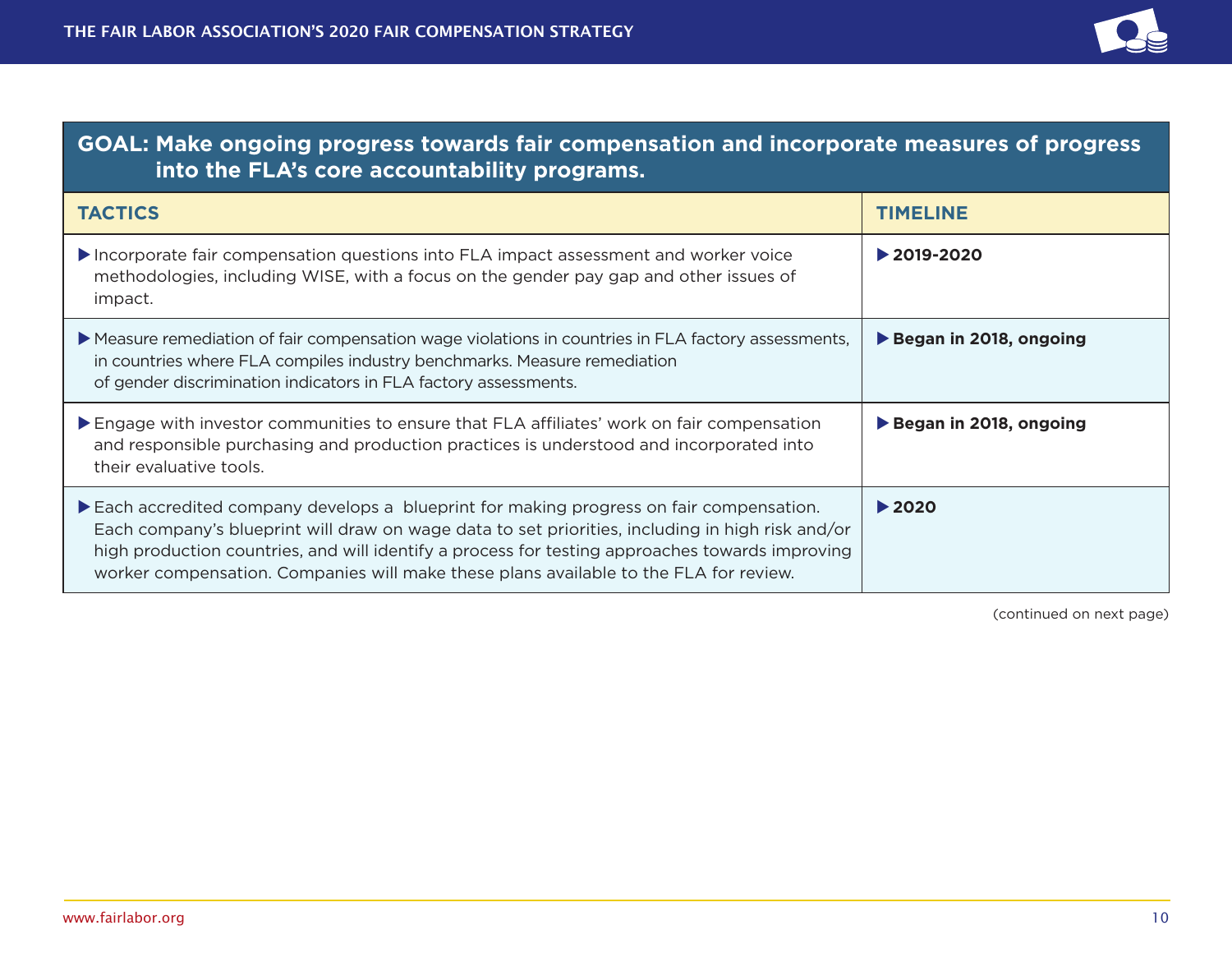

| <b>GOAL: Make ongoing progress towards fair compensation and incorporate measures of progress</b><br>into the FLA's core accountability programs.                                                                                                                                                                                                                                      |                                 |
|----------------------------------------------------------------------------------------------------------------------------------------------------------------------------------------------------------------------------------------------------------------------------------------------------------------------------------------------------------------------------------------|---------------------------------|
| <b>TACTICS</b>                                                                                                                                                                                                                                                                                                                                                                         | <b>TIMELINE</b>                 |
| Incorporate fair compensation questions into FLA impact assessment and worker voice<br>methodologies, including WISE, with a focus on the gender pay gap and other issues of<br>impact.                                                                                                                                                                                                | $\blacktriangleright$ 2019-2020 |
| Measure remediation of fair compensation wage violations in countries in FLA factory assessments,<br>in countries where FLA compiles industry benchmarks. Measure remediation<br>of gender discrimination indicators in FLA factory assessments.                                                                                                                                       | Began in 2018, ongoing          |
| Engage with investor communities to ensure that FLA affiliates' work on fair compensation<br>and responsible purchasing and production practices is understood and incorporated into<br>their evaluative tools.                                                                                                                                                                        | Began in 2018, ongoing          |
| Each accredited company develops a blueprint for making progress on fair compensation.<br>Each company's blueprint will draw on wage data to set priorities, including in high risk and/or<br>high production countries, and will identify a process for testing approaches towards improving<br>worker compensation. Companies will make these plans available to the FLA for review. | $\blacktriangleright$ 2020      |

(continued on next page)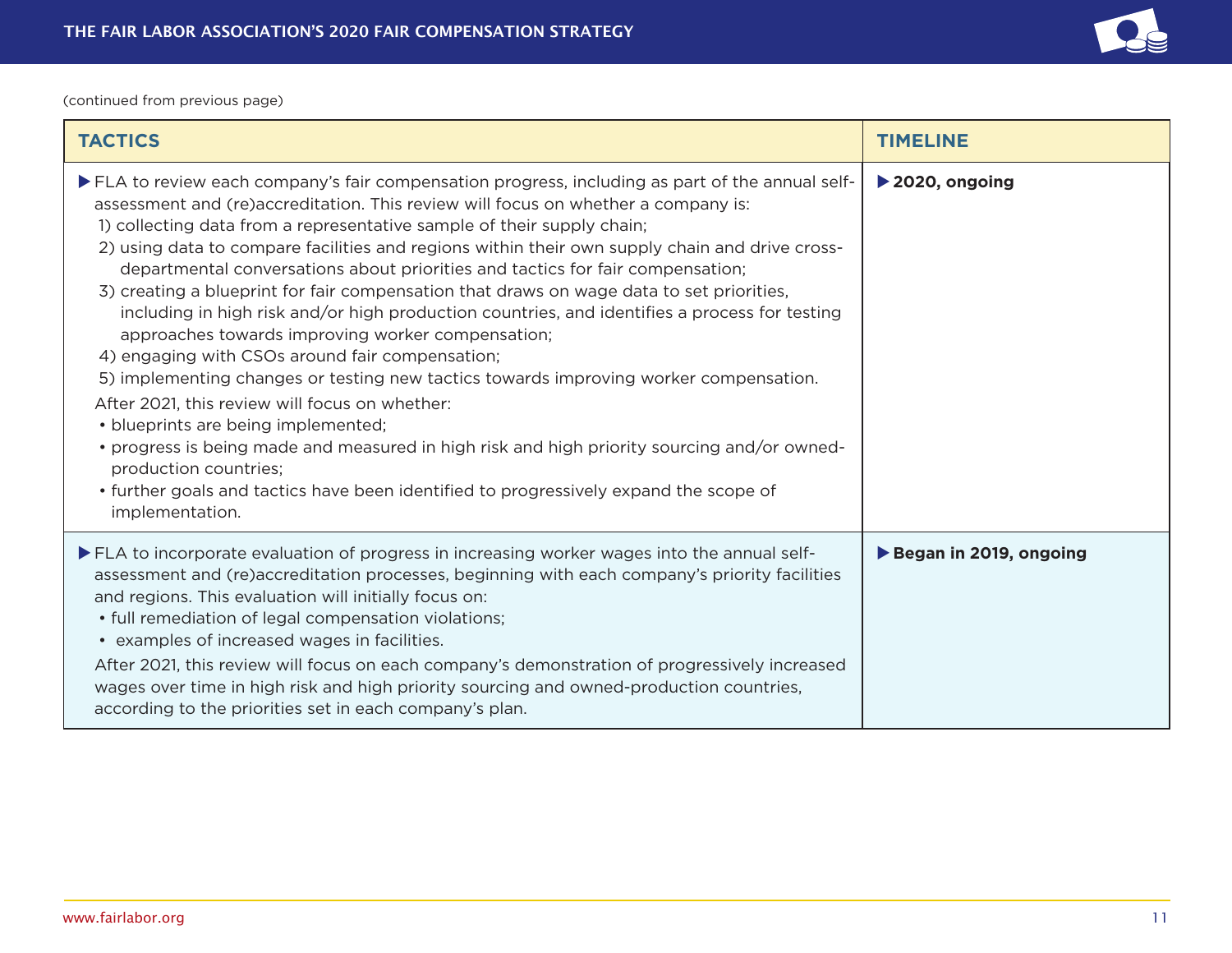

(continued from previous page)

| <b>TACTICS</b>                                                                                                                                                                                                                                                                                                                                                                                                                                                                                                                                                                                                                                                                                                                                                                                                                                                                                                                                                                                                                                                                                                                                                                 | <b>TIMELINE</b>                     |
|--------------------------------------------------------------------------------------------------------------------------------------------------------------------------------------------------------------------------------------------------------------------------------------------------------------------------------------------------------------------------------------------------------------------------------------------------------------------------------------------------------------------------------------------------------------------------------------------------------------------------------------------------------------------------------------------------------------------------------------------------------------------------------------------------------------------------------------------------------------------------------------------------------------------------------------------------------------------------------------------------------------------------------------------------------------------------------------------------------------------------------------------------------------------------------|-------------------------------------|
| ▶ FLA to review each company's fair compensation progress, including as part of the annual self-<br>assessment and (re)accreditation. This review will focus on whether a company is:<br>1) collecting data from a representative sample of their supply chain;<br>2) using data to compare facilities and regions within their own supply chain and drive cross-<br>departmental conversations about priorities and tactics for fair compensation;<br>3) creating a blueprint for fair compensation that draws on wage data to set priorities,<br>including in high risk and/or high production countries, and identifies a process for testing<br>approaches towards improving worker compensation;<br>4) engaging with CSOs around fair compensation;<br>5) implementing changes or testing new tactics towards improving worker compensation.<br>After 2021, this review will focus on whether:<br>• blueprints are being implemented;<br>• progress is being made and measured in high risk and high priority sourcing and/or owned-<br>production countries;<br>• further goals and tactics have been identified to progressively expand the scope of<br>implementation. | $\blacktriangleright$ 2020, ongoing |
| >FLA to incorporate evaluation of progress in increasing worker wages into the annual self-<br>assessment and (re)accreditation processes, beginning with each company's priority facilities<br>and regions. This evaluation will initially focus on:<br>• full remediation of legal compensation violations;<br>• examples of increased wages in facilities.<br>After 2021, this review will focus on each company's demonstration of progressively increased<br>wages over time in high risk and high priority sourcing and owned-production countries,<br>according to the priorities set in each company's plan.                                                                                                                                                                                                                                                                                                                                                                                                                                                                                                                                                           | Began in 2019, ongoing              |